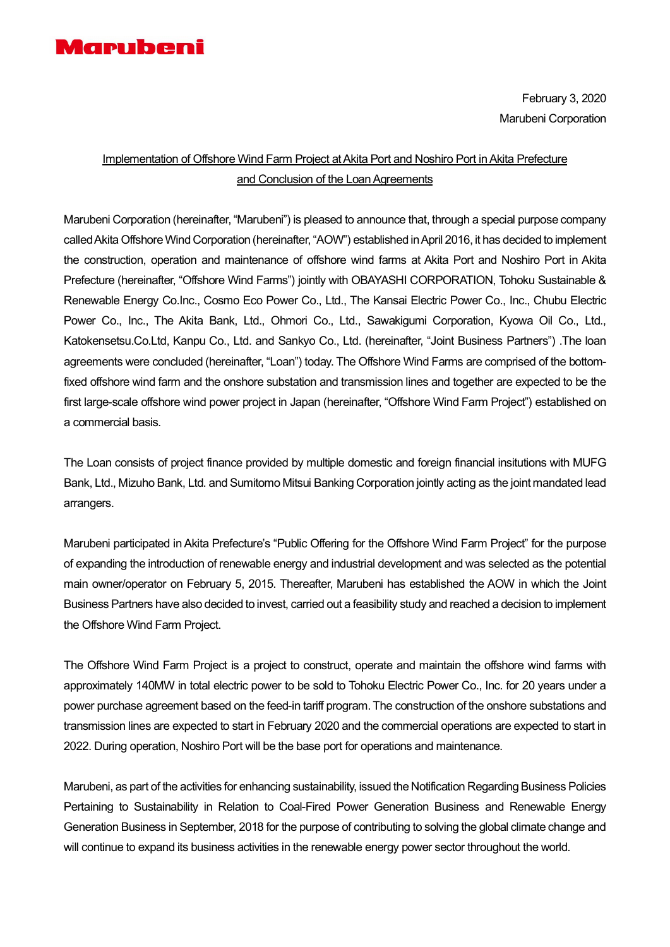

February 3, 2020 Marubeni Corporation

## Implementation of Offshore Wind Farm Project at Akita Port and Noshiro Port in Akita Prefecture and Conclusion of the Loan Agreements

Marubeni Corporation (hereinafter, "Marubeni") is pleased to announce that, through a special purpose company called Akita Offshore Wind Corporation (hereinafter, "AOW") established in April 2016, it has decided to implement the construction, operation and maintenance of offshore wind farms at Akita Port and Noshiro Port in Akita Prefecture (hereinafter, "Offshore Wind Farms") jointly with OBAYASHI CORPORATION, Tohoku Sustainable & Renewable Energy Co.Inc., Cosmo Eco Power Co., Ltd., The Kansai Electric Power Co., Inc., Chubu Electric Power Co., Inc., The Akita Bank, Ltd., Ohmori Co., Ltd., Sawakigumi Corporation, Kyowa Oil Co., Ltd., Katokensetsu.Co.Ltd, Kanpu Co., Ltd. and Sankyo Co., Ltd. (hereinafter, "Joint Business Partners") .The loan agreements were concluded (hereinafter, "Loan") today. The Offshore Wind Farms are comprised of the bottomfixed offshore wind farm and the onshore substation and transmission lines and together are expected to be the first large-scale offshore wind power project in Japan (hereinafter, "Offshore Wind Farm Project") established on a commercial basis.

The Loan consists of project finance provided by multiple domestic and foreign financial insitutions with MUFG Bank, Ltd., Mizuho Bank, Ltd. and Sumitomo Mitsui Banking Corporation jointly acting as the joint mandated lead arrangers.

Marubeni participated in Akita Prefecture's "Public Offering for the Offshore Wind Farm Project" for the purpose of expanding the introduction of renewable energy and industrial development and was selected as the potential main owner/operator on February 5, 2015. Thereafter, Marubeni has established the AOW in which the Joint Business Partners have also decided to invest, carried out a feasibility study and reached a decision to implement the Offshore Wind Farm Project.

The Offshore Wind Farm Project is a project to construct, operate and maintain the offshore wind farms with approximately 140MW in total electric power to be sold to Tohoku Electric Power Co., Inc. for 20 years under a power purchase agreement based on the feed-in tariff program. The construction of the onshore substations and transmission lines are expected to start in February 2020 and the commercial operations are expected to start in 2022. During operation, Noshiro Port will be the base port for operations and maintenance.

Marubeni, as part of the activities for enhancing sustainability, issued the Notification Regarding Business Policies Pertaining to Sustainability in Relation to Coal-Fired Power Generation Business and Renewable Energy Generation Business in September, 2018 for the purpose of contributing to solving the global climate change and will continue to expand its business activities in the renewable energy power sector throughout the world.